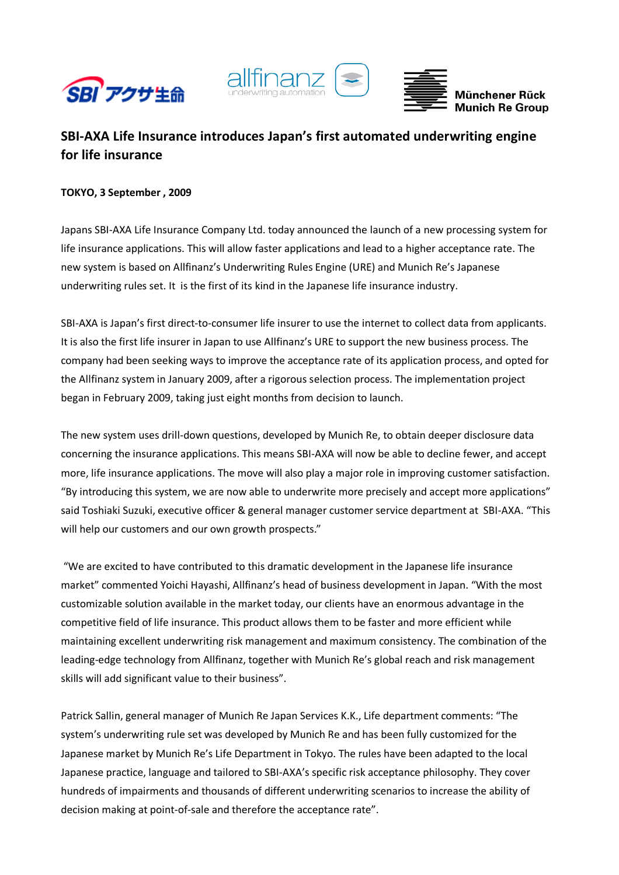





# **SBI‐AXA Life Insurance introduces Japan's first automated underwriting engine for life insurance**

# **TOKYO, 3 September , 2009**

Japans SBI‐AXA Life Insurance Company Ltd. today announced the launch of a new processing system for life insurance applications. This will allow faster applications and lead to a higher acceptance rate. The new system is based on Allfinanz's Underwriting Rules Engine (URE) and Munich Re's Japanese underwriting rules set. It is the first of its kind in the Japanese life insurance industry.

SBI‐AXA is Japan's first direct‐to‐consumer life insurer to use the internet to collect data from applicants. It is also the first life insurer in Japan to use Allfinanz's URE to support the new business process. The company had been seeking ways to improve the acceptance rate of its application process, and opted for the Allfinanz system in January 2009, after a rigorous selection process. The implementation project began in February 2009, taking just eight months from decision to launch.

The new system uses drill‐down questions, developed by Munich Re, to obtain deeper disclosure data concerning the insurance applications. This means SBI‐AXA will now be able to decline fewer, and accept more, life insurance applications. The move will also play a major role in improving customer satisfaction. "By introducing this system, we are now able to underwrite more precisely and accept more applications" said Toshiaki Suzuki, executive officer & general manager customer service department at SBI‐AXA. "This will help our customers and our own growth prospects."

"We are excited to have contributed to this dramatic development in the Japanese life insurance market" commented Yoichi Hayashi, Allfinanz's head of business development in Japan. "With the most customizable solution available in the market today, our clients have an enormous advantage in the competitive field of life insurance. This product allows them to be faster and more efficient while maintaining excellent underwriting risk management and maximum consistency. The combination of the leading‐edge technology from Allfinanz, together with Munich Re's global reach and risk management skills will add significant value to their business".

Patrick Sallin, general manager of Munich Re Japan Services K.K., Life department comments: "The system's underwriting rule set was developed by Munich Re and has been fully customized for the Japanese market by Munich Re's Life Department in Tokyo. The rules have been adapted to the local Japanese practice, language and tailored to SBI‐AXA's specific risk acceptance philosophy. They cover hundreds of impairments and thousands of different underwriting scenarios to increase the ability of decision making at point‐of‐sale and therefore the acceptance rate".